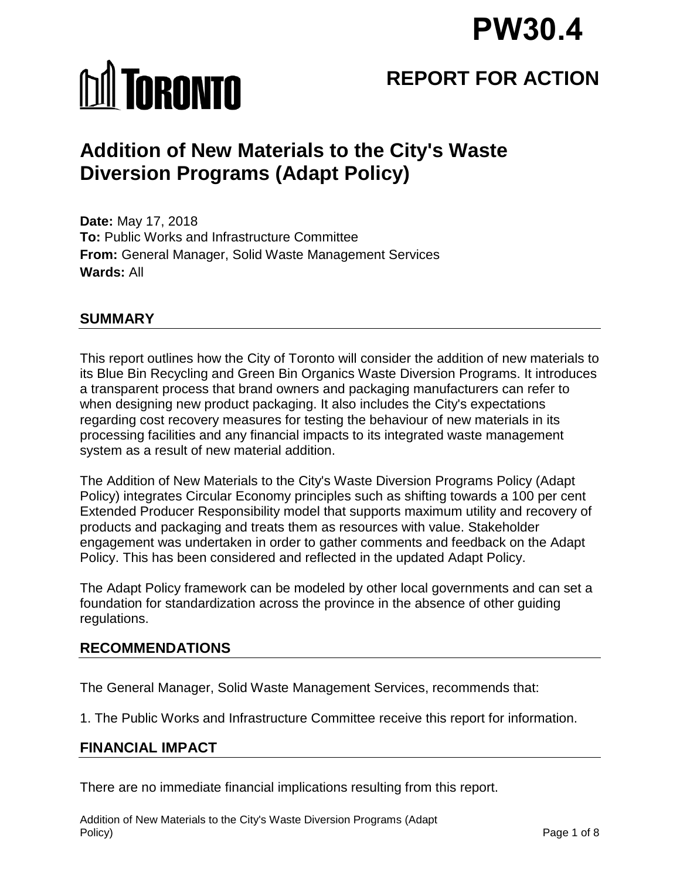# **PW30.4**

# **MI TORONTO**

## **REPORT FOR ACTION**

### **Addition of New Materials to the City's Waste Diversion Programs (Adapt Policy)**

**Date:** May 17, 2018 **To:** Public Works and Infrastructure Committee **From:** General Manager, Solid Waste Management Services **Wards:** All

#### **SUMMARY**

This report outlines how the City of Toronto will consider the addition of new materials to its Blue Bin Recycling and Green Bin Organics Waste Diversion Programs. It introduces a transparent process that brand owners and packaging manufacturers can refer to when designing new product packaging. It also includes the City's expectations regarding cost recovery measures for testing the behaviour of new materials in its processing facilities and any financial impacts to its integrated waste management system as a result of new material addition.

The Addition of New Materials to the City's Waste Diversion Programs Policy (Adapt Policy) integrates Circular Economy principles such as shifting towards a 100 per cent Extended Producer Responsibility model that supports maximum utility and recovery of products and packaging and treats them as resources with value. Stakeholder engagement was undertaken in order to gather comments and feedback on the Adapt Policy. This has been considered and reflected in the updated Adapt Policy.

The Adapt Policy framework can be modeled by other local governments and can set a foundation for standardization across the province in the absence of other guiding regulations.

#### **RECOMMENDATIONS**

The General Manager, Solid Waste Management Services, recommends that:

1. The Public Works and Infrastructure Committee receive this report for information.

#### **FINANCIAL IMPACT**

There are no immediate financial implications resulting from this report.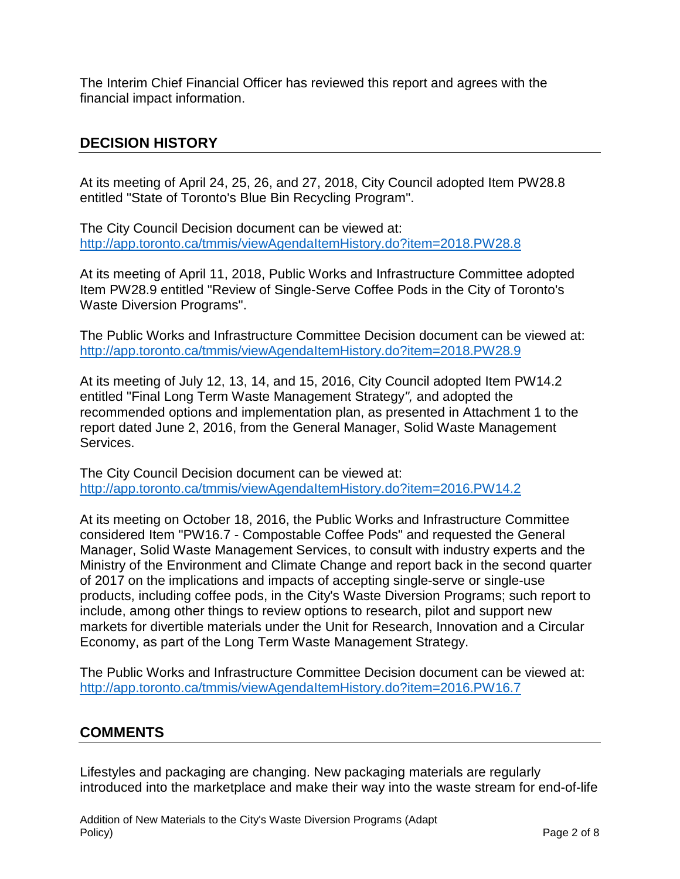The Interim Chief Financial Officer has reviewed this report and agrees with the financial impact information.

#### **DECISION HISTORY**

At its meeting of April 24, 25, 26, and 27, 2018, City Council adopted Item PW28.8 entitled "State of Toronto's Blue Bin Recycling Program".

The City Council Decision document can be viewed at: <http://app.toronto.ca/tmmis/viewAgendaItemHistory.do?item=2018.PW28.8>

At its meeting of April 11, 2018, Public Works and Infrastructure Committee adopted Item PW28.9 entitled "Review of Single-Serve Coffee Pods in the City of Toronto's Waste Diversion Programs".

The Public Works and Infrastructure Committee Decision document can be viewed at: <http://app.toronto.ca/tmmis/viewAgendaItemHistory.do?item=2018.PW28.9>

At its meeting of July 12, 13, 14, and 15, 2016, City Council adopted Item PW14.2 entitled "Final Long Term Waste Management Strategy*",* and adopted the recommended options and implementation plan, as presented in Attachment 1 to the report dated June 2, 2016, from the General Manager, Solid Waste Management Services.

The City Council Decision document can be viewed at: <http://app.toronto.ca/tmmis/viewAgendaItemHistory.do?item=2016.PW14.2>

At its meeting on October 18, 2016, the Public Works and Infrastructure Committee considered Item "PW16.7 - Compostable Coffee Pods" and requested the General Manager, Solid Waste Management Services, to consult with industry experts and the Ministry of the Environment and Climate Change and report back in the second quarter of 2017 on the implications and impacts of accepting single-serve or single-use products, including coffee pods, in the City's Waste Diversion Programs; such report to include, among other things to review options to research, pilot and support new markets for divertible materials under the Unit for Research, Innovation and a Circular Economy, as part of the Long Term Waste Management Strategy.

The Public Works and Infrastructure Committee Decision document can be viewed at: <http://app.toronto.ca/tmmis/viewAgendaItemHistory.do?item=2016.PW16.7>

#### **COMMENTS**

Lifestyles and packaging are changing. New packaging materials are regularly introduced into the marketplace and make their way into the waste stream for end-of-life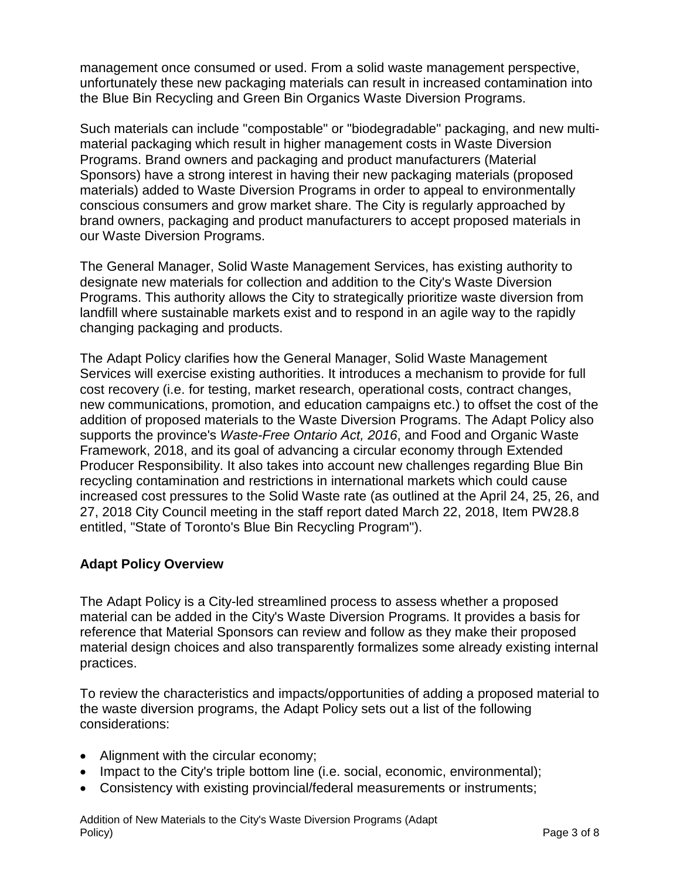management once consumed or used. From a solid waste management perspective, unfortunately these new packaging materials can result in increased contamination into the Blue Bin Recycling and Green Bin Organics Waste Diversion Programs.

Such materials can include "compostable" or "biodegradable" packaging, and new multimaterial packaging which result in higher management costs in Waste Diversion Programs. Brand owners and packaging and product manufacturers (Material Sponsors) have a strong interest in having their new packaging materials (proposed materials) added to Waste Diversion Programs in order to appeal to environmentally conscious consumers and grow market share. The City is regularly approached by brand owners, packaging and product manufacturers to accept proposed materials in our Waste Diversion Programs.

The General Manager, Solid Waste Management Services, has existing authority to designate new materials for collection and addition to the City's Waste Diversion Programs. This authority allows the City to strategically prioritize waste diversion from landfill where sustainable markets exist and to respond in an agile way to the rapidly changing packaging and products.

The Adapt Policy clarifies how the General Manager, Solid Waste Management Services will exercise existing authorities. It introduces a mechanism to provide for full cost recovery (i.e. for testing, market research, operational costs, contract changes, new communications, promotion, and education campaigns etc.) to offset the cost of the addition of proposed materials to the Waste Diversion Programs. The Adapt Policy also supports the province's *Waste-Free Ontario Act, 2016*, and Food and Organic Waste Framework, 2018, and its goal of advancing a circular economy through Extended Producer Responsibility. It also takes into account new challenges regarding Blue Bin recycling contamination and restrictions in international markets which could cause increased cost pressures to the Solid Waste rate (as outlined at the April 24, 25, 26, and 27, 2018 City Council meeting in the staff report dated March 22, 2018, Item PW28.8 entitled, "State of Toronto's Blue Bin Recycling Program").

#### **Adapt Policy Overview**

The Adapt Policy is a City-led streamlined process to assess whether a proposed material can be added in the City's Waste Diversion Programs. It provides a basis for reference that Material Sponsors can review and follow as they make their proposed material design choices and also transparently formalizes some already existing internal practices.

To review the characteristics and impacts/opportunities of adding a proposed material to the waste diversion programs, the Adapt Policy sets out a list of the following considerations:

- Alignment with the circular economy;
- Impact to the City's triple bottom line (i.e. social, economic, environmental);
- Consistency with existing provincial/federal measurements or instruments;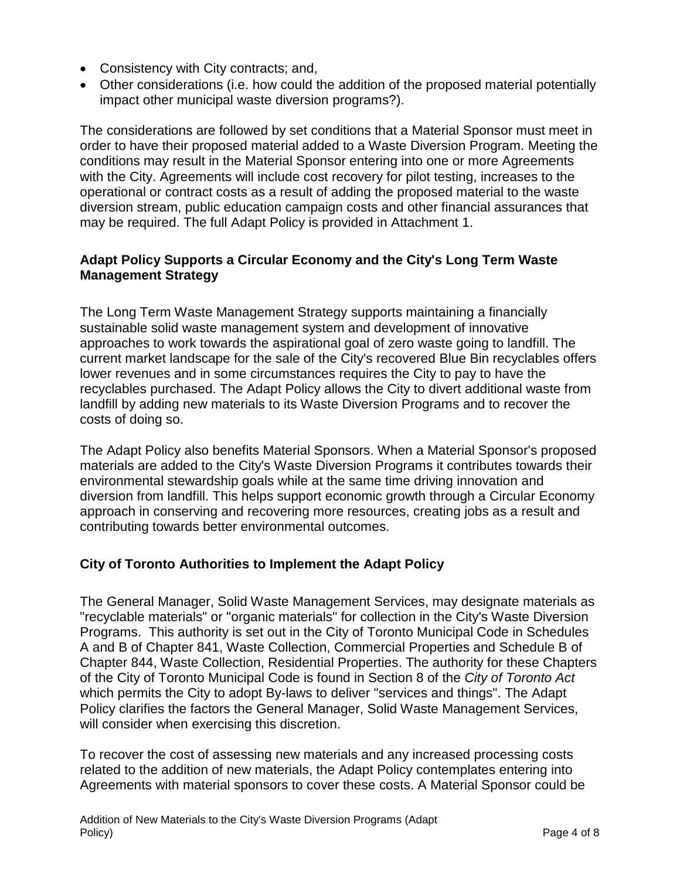- Consistency with City contracts; and,
- Other considerations (i.e. how could the addition of the proposed material potentially impact other municipal waste diversion programs?).

The considerations are followed by set conditions that a Material Sponsor must meet in order to have their proposed material added to a Waste Diversion Program. Meeting the conditions may result in the Material Sponsor entering into one or more Agreements with the City. Agreements will include cost recovery for pilot testing, increases to the operational or contract costs as a result of adding the proposed material to the waste diversion stream, public education campaign costs and other financial assurances that may be required. The full Adapt Policy is provided in Attachment 1.

#### **Adapt Policy Supports a Circular Economy and the City's Long Term Waste Management Strategy**

The Long Term Waste Management Strategy supports maintaining a financially sustainable solid waste management system and development of innovative approaches to work towards the aspirational goal of zero waste going to landfill. The current market landscape for the sale of the City's recovered Blue Bin recyclables offers lower revenues and in some circumstances requires the City to pay to have the recyclables purchased. The Adapt Policy allows the City to divert additional waste from landfill by adding new materials to its Waste Diversion Programs and to recover the costs of doing so.

The Adapt Policy also benefits Material Sponsors. When a Material Sponsor's proposed materials are added to the City's Waste Diversion Programs it contributes towards their environmental stewardship goals while at the same time driving innovation and diversion from landfill. This helps support economic growth through a Circular Economy approach in conserving and recovering more resources, creating jobs as a result and contributing towards better environmental outcomes.

#### **City of Toronto Authorities to Implement the Adapt Policy**

The General Manager, Solid Waste Management Services, may designate materials as "recyclable materials" or "organic materials" for collection in the City's Waste Diversion Programs. This authority is set out in the City of Toronto Municipal Code in Schedules A and B of Chapter 841, Waste Collection, Commercial Properties and Schedule B of Chapter 844, Waste Collection, Residential Properties. The authority for these Chapters of the City of Toronto Municipal Code is found in Section 8 of the *City of Toronto Act* which permits the City to adopt By-laws to deliver "services and things". The Adapt Policy clarifies the factors the General Manager, Solid Waste Management Services, will consider when exercising this discretion.

To recover the cost of assessing new materials and any increased processing costs related to the addition of new materials, the Adapt Policy contemplates entering into Agreements with material sponsors to cover these costs. A Material Sponsor could be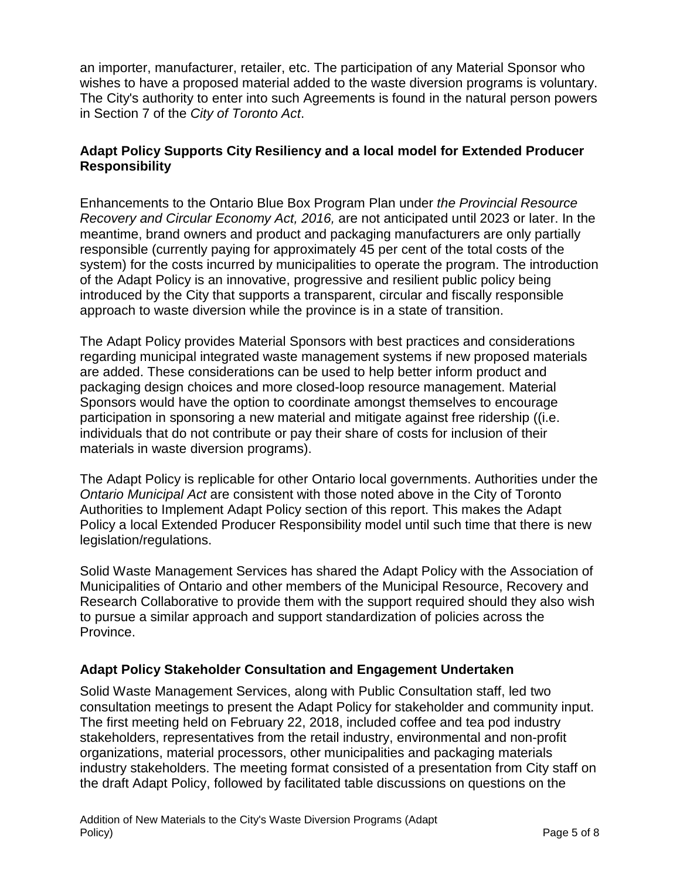an importer, manufacturer, retailer, etc. The participation of any Material Sponsor who wishes to have a proposed material added to the waste diversion programs is voluntary. The City's authority to enter into such Agreements is found in the natural person powers in Section 7 of the *City of Toronto Act*.

#### **Adapt Policy Supports City Resiliency and a local model for Extended Producer Responsibility**

Enhancements to the Ontario Blue Box Program Plan under *the Provincial Resource Recovery and Circular Economy Act, 2016,* are not anticipated until 2023 or later. In the meantime, brand owners and product and packaging manufacturers are only partially responsible (currently paying for approximately 45 per cent of the total costs of the system) for the costs incurred by municipalities to operate the program. The introduction of the Adapt Policy is an innovative, progressive and resilient public policy being introduced by the City that supports a transparent, circular and fiscally responsible approach to waste diversion while the province is in a state of transition.

The Adapt Policy provides Material Sponsors with best practices and considerations regarding municipal integrated waste management systems if new proposed materials are added. These considerations can be used to help better inform product and packaging design choices and more closed-loop resource management. Material Sponsors would have the option to coordinate amongst themselves to encourage participation in sponsoring a new material and mitigate against free ridership ((i.e. individuals that do not contribute or pay their share of costs for inclusion of their materials in waste diversion programs).

The Adapt Policy is replicable for other Ontario local governments. Authorities under the *Ontario Municipal Act* are consistent with those noted above in the City of Toronto Authorities to Implement Adapt Policy section of this report. This makes the Adapt Policy a local Extended Producer Responsibility model until such time that there is new legislation/regulations.

Solid Waste Management Services has shared the Adapt Policy with the Association of Municipalities of Ontario and other members of the Municipal Resource, Recovery and Research Collaborative to provide them with the support required should they also wish to pursue a similar approach and support standardization of policies across the Province.

#### **Adapt Policy Stakeholder Consultation and Engagement Undertaken**

Solid Waste Management Services, along with Public Consultation staff, led two consultation meetings to present the Adapt Policy for stakeholder and community input. The first meeting held on February 22, 2018, included coffee and tea pod industry stakeholders, representatives from the retail industry, environmental and non-profit organizations, material processors, other municipalities and packaging materials industry stakeholders. The meeting format consisted of a presentation from City staff on the draft Adapt Policy, followed by facilitated table discussions on questions on the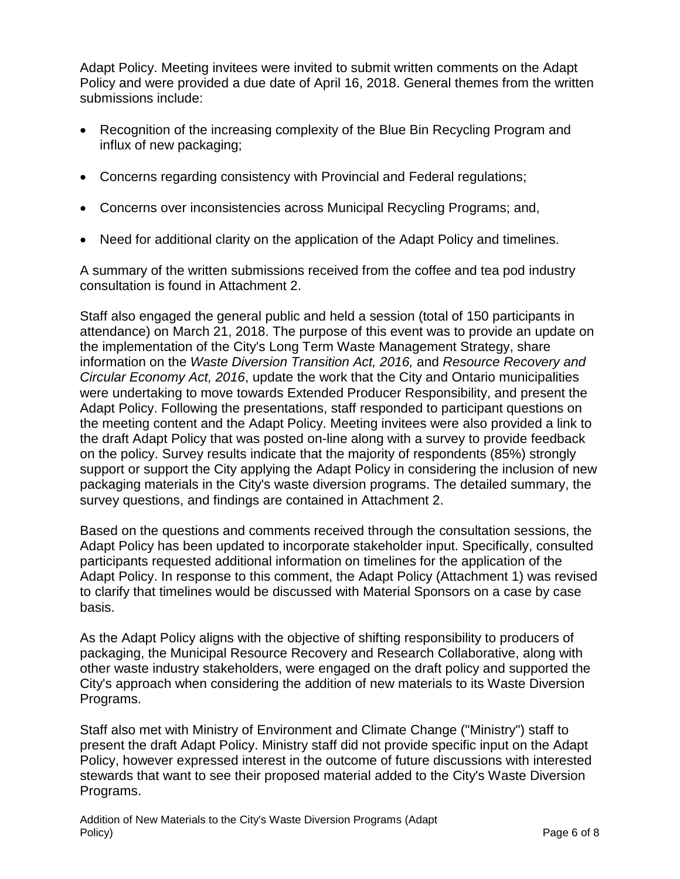Adapt Policy. Meeting invitees were invited to submit written comments on the Adapt Policy and were provided a due date of April 16, 2018. General themes from the written submissions include:

- Recognition of the increasing complexity of the Blue Bin Recycling Program and influx of new packaging;
- Concerns regarding consistency with Provincial and Federal regulations;
- Concerns over inconsistencies across Municipal Recycling Programs; and,
- Need for additional clarity on the application of the Adapt Policy and timelines.

A summary of the written submissions received from the coffee and tea pod industry consultation is found in Attachment 2.

Staff also engaged the general public and held a session (total of 150 participants in attendance) on March 21, 2018. The purpose of this event was to provide an update on the implementation of the City's Long Term Waste Management Strategy, share information on the *Waste Diversion Transition Act, 2016,* and *Resource Recovery and Circular Economy Act, 2016*, update the work that the City and Ontario municipalities were undertaking to move towards Extended Producer Responsibility, and present the Adapt Policy. Following the presentations, staff responded to participant questions on the meeting content and the Adapt Policy. Meeting invitees were also provided a link to the draft Adapt Policy that was posted on-line along with a survey to provide feedback on the policy. Survey results indicate that the majority of respondents (85%) strongly support or support the City applying the Adapt Policy in considering the inclusion of new packaging materials in the City's waste diversion programs. The detailed summary, the survey questions, and findings are contained in Attachment 2.

Based on the questions and comments received through the consultation sessions, the Adapt Policy has been updated to incorporate stakeholder input. Specifically, consulted participants requested additional information on timelines for the application of the Adapt Policy. In response to this comment, the Adapt Policy (Attachment 1) was revised to clarify that timelines would be discussed with Material Sponsors on a case by case basis.

As the Adapt Policy aligns with the objective of shifting responsibility to producers of packaging, the Municipal Resource Recovery and Research Collaborative, along with other waste industry stakeholders, were engaged on the draft policy and supported the City's approach when considering the addition of new materials to its Waste Diversion Programs.

Staff also met with Ministry of Environment and Climate Change ("Ministry") staff to present the draft Adapt Policy. Ministry staff did not provide specific input on the Adapt Policy, however expressed interest in the outcome of future discussions with interested stewards that want to see their proposed material added to the City's Waste Diversion Programs.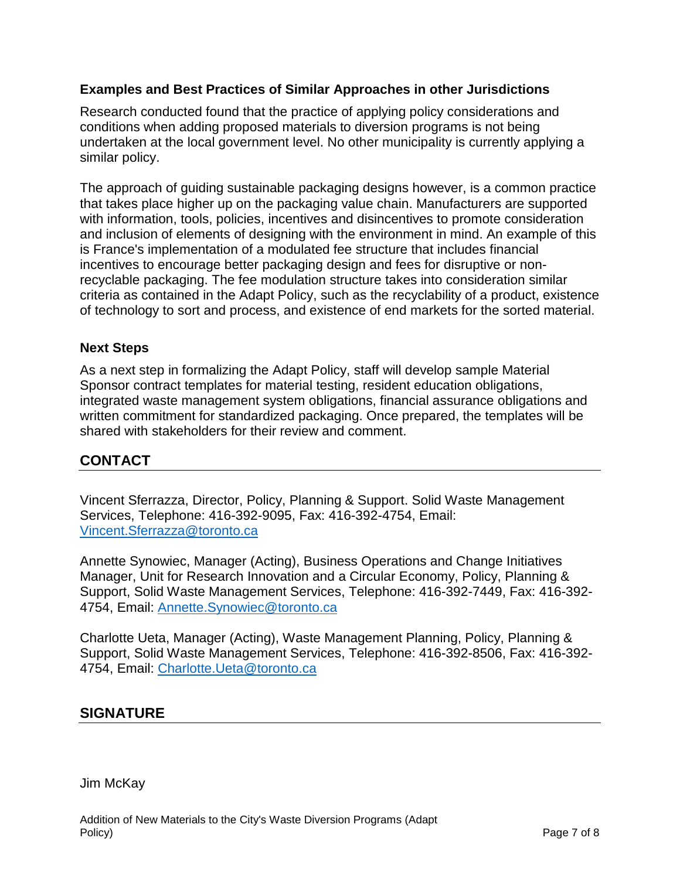#### **Examples and Best Practices of Similar Approaches in other Jurisdictions**

Research conducted found that the practice of applying policy considerations and conditions when adding proposed materials to diversion programs is not being undertaken at the local government level. No other municipality is currently applying a similar policy.

The approach of guiding sustainable packaging designs however, is a common practice that takes place higher up on the packaging value chain. Manufacturers are supported with information, tools, policies, incentives and disincentives to promote consideration and inclusion of elements of designing with the environment in mind. An example of this is France's implementation of a modulated fee structure that includes financial incentives to encourage better packaging design and fees for disruptive or nonrecyclable packaging. The fee modulation structure takes into consideration similar criteria as contained in the Adapt Policy, such as the recyclability of a product, existence of technology to sort and process, and existence of end markets for the sorted material.

#### **Next Steps**

As a next step in formalizing the Adapt Policy, staff will develop sample Material Sponsor contract templates for material testing, resident education obligations, integrated waste management system obligations, financial assurance obligations and written commitment for standardized packaging. Once prepared, the templates will be shared with stakeholders for their review and comment.

#### **CONTACT**

Vincent Sferrazza, Director, Policy, Planning & Support. Solid Waste Management Services, Telephone: 416-392-9095, Fax: 416-392-4754, Email: [Vincent.Sferrazza@toronto.ca](mailto:Vincent.Sferrazza@toronto.ca)

Annette Synowiec, Manager (Acting), Business Operations and Change Initiatives Manager, Unit for Research Innovation and a Circular Economy, Policy, Planning & Support, Solid Waste Management Services, Telephone: 416-392-7449, Fax: 416-392- 4754, Email: [Annette.Synowiec@toronto.ca](mailto:Annette.Synowiec@toronto.ca)

Charlotte Ueta, Manager (Acting), Waste Management Planning, Policy, Planning & Support, Solid Waste Management Services, Telephone: 416-392-8506, Fax: 416-392- 4754, Email: [Charlotte.Ueta@toronto.ca](mailto:Charlotte.Ueta@toronto.ca)

#### **SIGNATURE**

Jim McKay